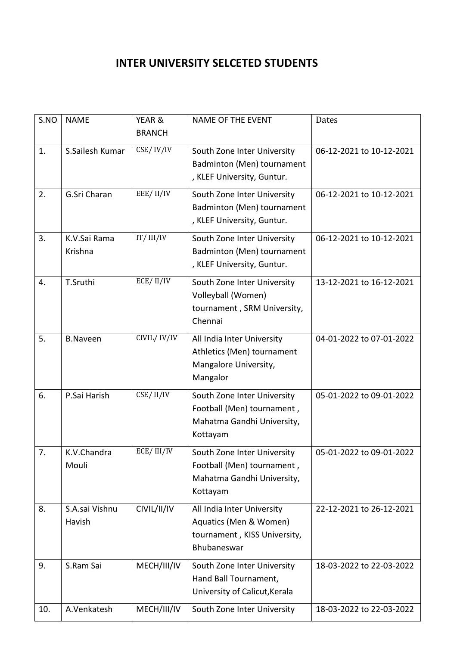## **INTER UNIVERSITY SELCETED STUDENTS**

| S.NO | <b>NAME</b>     | YEAR &        | <b>NAME OF THE EVENT</b>                               | Dates                    |
|------|-----------------|---------------|--------------------------------------------------------|--------------------------|
|      |                 | <b>BRANCH</b> |                                                        |                          |
| 1.   | S.Sailesh Kumar | CSE/IV/IV     | South Zone Inter University                            | 06-12-2021 to 10-12-2021 |
|      |                 |               | Badminton (Men) tournament                             |                          |
|      |                 |               | , KLEF University, Guntur.                             |                          |
| 2.   | G.Sri Charan    | EEE/II/IV     | South Zone Inter University                            | 06-12-2021 to 10-12-2021 |
|      |                 |               | Badminton (Men) tournament                             |                          |
|      |                 |               | , KLEF University, Guntur.                             |                          |
| 3.   | K.V.Sai Rama    | IT/III/IV     | South Zone Inter University                            | 06-12-2021 to 10-12-2021 |
|      | Krishna         |               | Badminton (Men) tournament                             |                          |
|      |                 |               | , KLEF University, Guntur.                             |                          |
| 4.   | T.Sruthi        | ECE/II/IV     | South Zone Inter University                            | 13-12-2021 to 16-12-2021 |
|      |                 |               | Volleyball (Women)                                     |                          |
|      |                 |               | tournament, SRM University,                            |                          |
|      |                 |               | Chennai                                                |                          |
| 5.   | <b>B.Naveen</b> | CIVIL/IV/IV   | All India Inter University                             | 04-01-2022 to 07-01-2022 |
|      |                 |               | Athletics (Men) tournament                             |                          |
|      |                 |               | Mangalore University,                                  |                          |
|      |                 |               | Mangalor                                               |                          |
| 6.   | P.Sai Harish    | CSE/II/IV     | South Zone Inter University                            | 05-01-2022 to 09-01-2022 |
|      |                 |               | Football (Men) tournament,                             |                          |
|      |                 |               | Mahatma Gandhi University,<br>Kottayam                 |                          |
|      |                 |               |                                                        |                          |
| 7.   | K.V.Chandra     | ECE/III/IV    | South Zone Inter University                            | 05-01-2022 to 09-01-2022 |
|      | Mouli           |               | Football (Men) tournament,                             |                          |
|      |                 |               | Mahatma Gandhi University,<br>Kottayam                 |                          |
|      |                 |               |                                                        |                          |
| 8.   | S.A.sai Vishnu  | CIVIL/II/IV   | All India Inter University                             | 22-12-2021 to 26-12-2021 |
|      | Havish          |               | Aquatics (Men & Women)<br>tournament, KISS University, |                          |
|      |                 |               | Bhubaneswar                                            |                          |
|      |                 |               |                                                        |                          |
| 9.   | S.Ram Sai       | MECH/III/IV   | South Zone Inter University<br>Hand Ball Tournament,   | 18-03-2022 to 22-03-2022 |
|      |                 |               | University of Calicut, Kerala                          |                          |
|      |                 |               |                                                        |                          |
| 10.  | A.Venkatesh     | MECH/III/IV   | South Zone Inter University                            | 18-03-2022 to 22-03-2022 |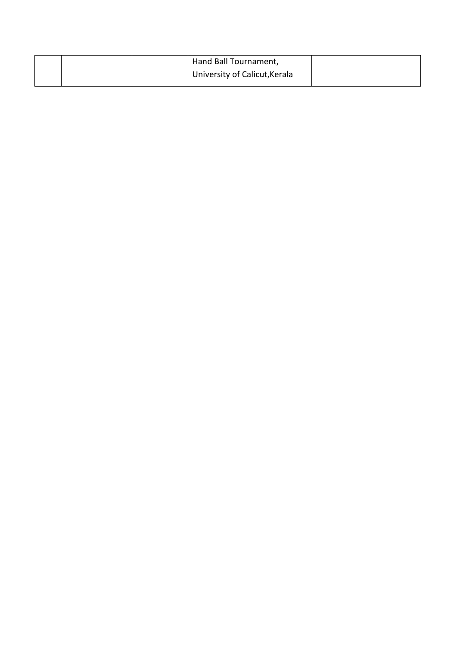|  | Hand Ball Tournament,         |  |
|--|-------------------------------|--|
|  | University of Calicut, Kerala |  |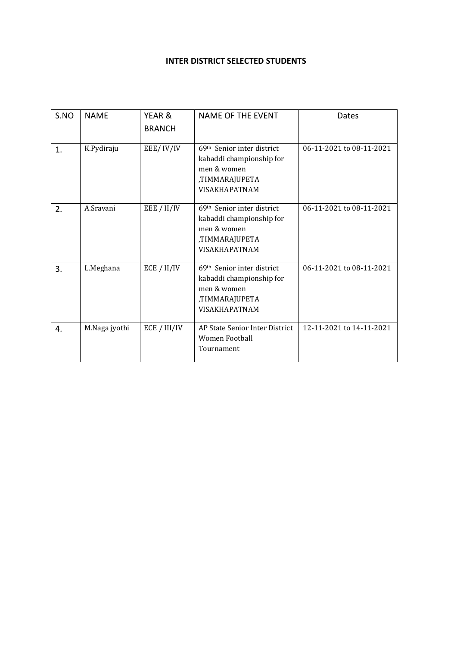## **INTER DISTRICT SELECTED STUDENTS**

| S.NO | <b>NAME</b>   | YEAR &        | <b>NAME OF THE EVENT</b>                                                                                                    | Dates                    |  |
|------|---------------|---------------|-----------------------------------------------------------------------------------------------------------------------------|--------------------------|--|
|      |               | <b>BRANCH</b> |                                                                                                                             |                          |  |
| 1.   | K.Pydiraju    | EEE/IV/IV     | 69th Senior inter district<br>kabaddi championship for<br>men & women<br>,TIMMARAJUPETA<br><b>VISAKHAPATNAM</b>             | 06-11-2021 to 08-11-2021 |  |
| 2.   | A.Sravani     | EEE / II/IV   | 69 <sup>th</sup> Senior inter district<br>kabaddi championship for<br>men & women<br>,TIMMARAJUPETA<br><b>VISAKHAPATNAM</b> | 06-11-2021 to 08-11-2021 |  |
| 3.   | L.Meghana     | ECE / II/IV   | 69th Senior inter district<br>kabaddi championship for<br>men & women<br>,TIMMARAJUPETA<br><b>VISAKHAPATNAM</b>             | 06-11-2021 to 08-11-2021 |  |
| 4.   | M.Naga jyothi | ECE / III/IV  | AP State Senior Inter District<br>Women Football<br>Tournament                                                              | 12-11-2021 to 14-11-2021 |  |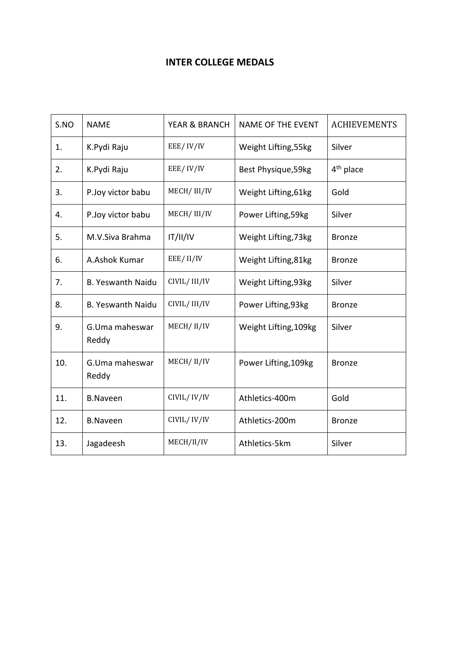## **INTER COLLEGE MEDALS**

| S.NO | <b>NAME</b>              | <b>YEAR &amp; BRANCH</b> | <b>NAME OF THE EVENT</b> | <b>ACHIEVEMENTS</b> |
|------|--------------------------|--------------------------|--------------------------|---------------------|
| 1.   | K.Pydi Raju              | EEE/IV/IV                | Weight Lifting, 55kg     | Silver              |
| 2.   | K.Pydi Raju              | EEE/IV/IV                | Best Physique, 59kg      | $4th$ place         |
| 3.   | P.Joy victor babu        | MECH/III/IV              | Weight Lifting, 61kg     | Gold                |
| 4.   | P.Joy victor babu        | MECH/III/IV              | Power Lifting, 59kg      | Silver              |
| 5.   | M.V.Siva Brahma          | IT/II/IV                 | Weight Lifting, 73kg     | <b>Bronze</b>       |
| 6.   | A.Ashok Kumar            | EEE/II/IV                | Weight Lifting, 81kg     | <b>Bronze</b>       |
| 7.   | <b>B. Yeswanth Naidu</b> | CIVIL/III/IV             | Weight Lifting, 93kg     | Silver              |
| 8.   | <b>B. Yeswanth Naidu</b> | CIVIL/III/IV             | Power Lifting, 93kg      | <b>Bronze</b>       |
| 9.   | G.Uma maheswar<br>Reddy  | MECH/II/IV               | Weight Lifting, 109kg    | Silver              |
| 10.  | G.Uma maheswar<br>Reddy  | MECH/II/IV               | Power Lifting, 109kg     | <b>Bronze</b>       |
| 11.  | <b>B.Naveen</b>          | CIVIL/IV/IV              | Athletics-400m           | Gold                |
| 12.  | <b>B.Naveen</b>          | CIVIL/IV/IV              | Athletics-200m           | <b>Bronze</b>       |
| 13.  | Jagadeesh                | MECH/II/IV               | Athletics-5km            | Silver              |